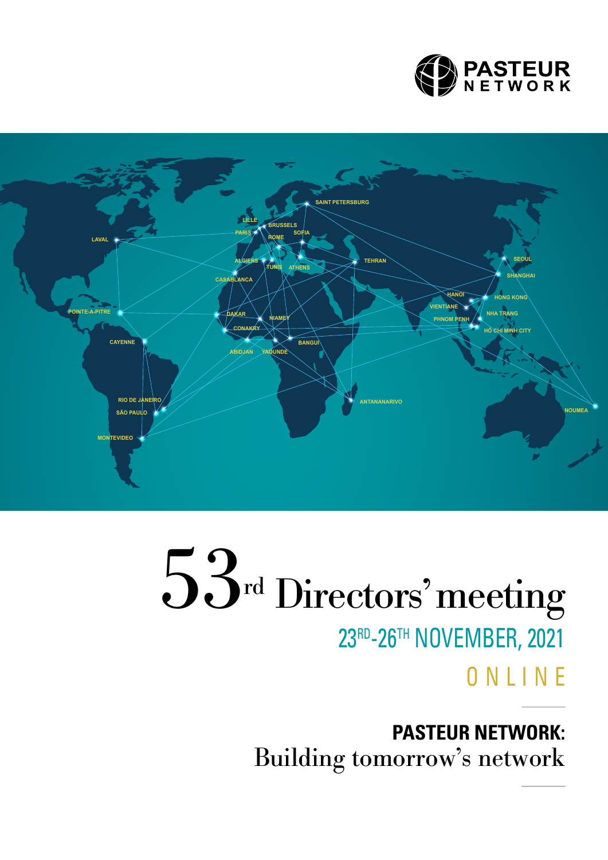



# 53<sup>rd</sup> Directors' meeting 23RD-26TH NOVEMBER, 2021 **ONLINE**

**PASTEUR NETWORK:**  Building tomorrow's network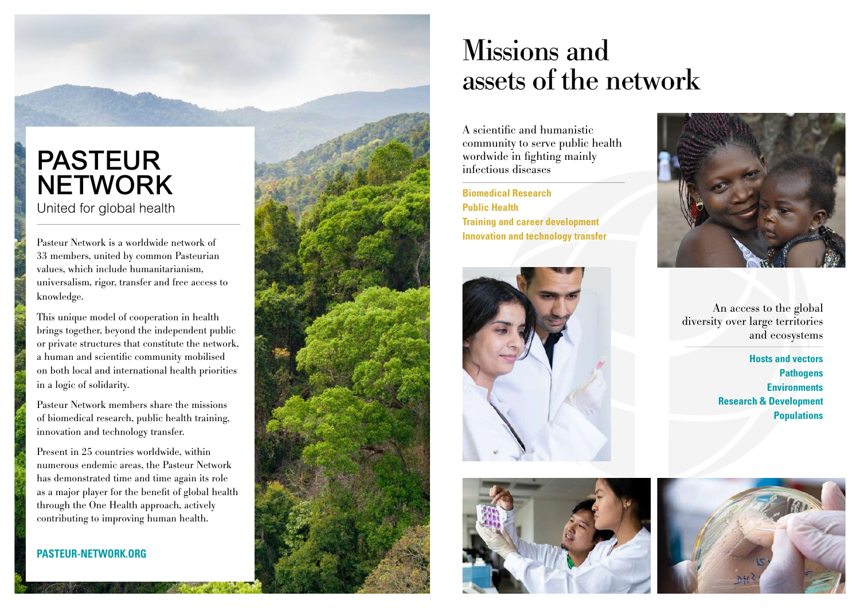## PASTEUR **NETWORK** United for global health

Pasteur Network is a worldwide network of 33 members, united by common Pasteurian values, which include humanitarianism, universalism, rigor, transfer and free access to knowledge.

This unique model of cooperation in health brings together, beyond the independent public or private structures that constitute the network, a human and scientific community mobilised on both local and international health priorities in a logic of solidarity.

Pasteur Network members share the missions of biomedical research, public health training, innovation and technology transfer.

Present in 25 countries worldwide, within numerous endemic areas, the Pasteur Network has demonstrated time and time again its role as a major player for the benefit of global health through the One Health approach, actively contributing to improving human health.

**[PASTEUR-NETWORK.ORG](http://pasteur-network.org)**



## Missions and assets of the network

A scientific and humanistic community to serve public health wordwide in fighting mainly infectious diseases

**Biomedical Research Public Health Training and career development Innovation and technology transfer**







An access to the global diversity over large territories and ecosystems

> **Hosts and vectors Pathogens Environments Research & Development Populations**

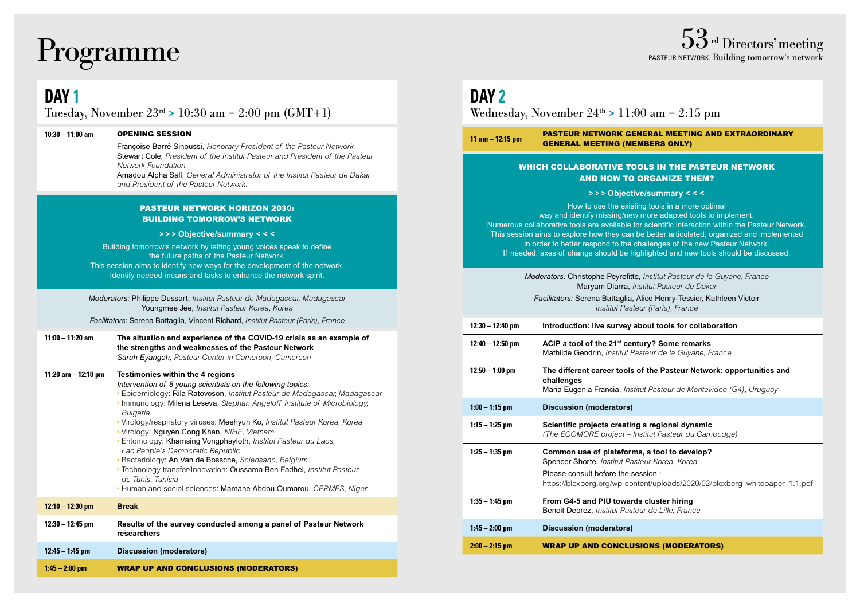## **DAY 1**

Tuesday, November  $23^{rd} > 10:30$  am  $- 2:00$  pm (GMT+1)

#### **10:30 – 11:00 am** OPENING SESSION

Françoise Barré Sinoussi, *Honorary President of the Pasteur Network* Stewart Cole, *President of the Institut Pasteur and President of the Pasteur Network Foundation*

Amadou Alpha Sall, *General Administrator of the Institut Pasteur de Dakar and President of the Pasteur Network.*

#### PASTEUR NETWORK HORIZON 2030: BUILDING TOMORROW'S NETWORK

#### **> > > Objective/summary < < <**

Building tomorrow's network by letting young voices speak to define the future paths of the Pasteur Network. This session aims to identify new ways for the development of the network. Identify needed means and tasks to enhance the network spirit.

*Moderators:* Philippe Dussart, *Institut Pasteur de Madagascar, Madagascar* Youngmee Jee, *Institut Pasteur Korea, Korea* 

*Facilitators:* Serena Battaglia, Vincent Richard, *Institut Pasteur (Paris), France*

| 11:00 - 11:20 am | The situation and experience of the COVID-19 crisis as an example of |
|------------------|----------------------------------------------------------------------|
|                  | the strengths and weaknesses of the Pasteur Network                  |
|                  | Sarah Eyangoh, Pasteur Center in Cameroon, Cameroon                  |

| 11:20 am $-$ 12:10 pm | Testimonies within the 4 regions<br>Intervention of 8 young scientists on the following topics:<br>• Epidemiology: Rila Ratovoson, Institut Pasteur de Madagascar, Madagascar<br>• Immunology: Milena Leseva, Stephan Angeloff Institute of Microbiology,<br>Bulgaria<br>• Virology/respiratory viruses: Meehyun Ko, Institut Pasteur Korea, Korea<br>• Virology: Nguyen Cong Khan, NIHE, Vietnam<br>• Entomology: Khamsing Vongphayloth, Institut Pasteur du Laos,<br>Lao People's Democratic Republic<br>· Bacteriology: An Van de Bossche, Sciensano, Belgium<br>• Technology transfer/Innovation: Oussama Ben Fadhel, Institut Pasteur<br>de Tunis. Tunisia<br>• Human and social sciences: Mamane Abdou Oumarou, CERMES, Niger |
|-----------------------|-------------------------------------------------------------------------------------------------------------------------------------------------------------------------------------------------------------------------------------------------------------------------------------------------------------------------------------------------------------------------------------------------------------------------------------------------------------------------------------------------------------------------------------------------------------------------------------------------------------------------------------------------------------------------------------------------------------------------------------|
| $12:10 - 12:30$ pm    | <b>Break</b>                                                                                                                                                                                                                                                                                                                                                                                                                                                                                                                                                                                                                                                                                                                        |
| 12:30 - 12:45 pm      | Results of the survey conducted among a panel of Pasteur Network<br>researchers                                                                                                                                                                                                                                                                                                                                                                                                                                                                                                                                                                                                                                                     |
| $12:45 - 1:45$ pm     | <b>Discussion (moderators)</b>                                                                                                                                                                                                                                                                                                                                                                                                                                                                                                                                                                                                                                                                                                      |
| $1:45 - 2:00$ pm      | <b>WRAP UP AND CONCLUSIONS (MODERATORS)</b>                                                                                                                                                                                                                                                                                                                                                                                                                                                                                                                                                                                                                                                                                         |

## **DAY 2**

Wednesday, November  $24<sup>th</sup> > 11:00$  am  $- 2:15$  pm

**11 am – 12:15 pm** PASTEUR NETWORK GENERAL MEETING AND EXTRAORDINARY GENERAL MEETING (MEMBERS ONLY)

#### WHICH COLLABORATIVE TOOLS IN THE PASTEUR NETWORK AND HOW TO ORGANIZE THEM?

#### **> > > Objective/summary < < <**

How to use the existing tools in a more optimal way and identify missing/new more adapted tools to implement. Numerous collaborative tools are available for scientific interaction within the Pasteur Network. This session aims to explore how they can be better articulated, organized and implemented in order to better respond to the challenges of the new Pasteur Network. If needed, axes of change should be highlighted and new tools should be discussed.

> *Moderators:* Christophe Peyrefitte, *Institut Pasteur de la Guyane, France* Maryam Diarra, *Institut Pasteur de Dakar*

*Facilitators:* Serena Battaglia, Alice Henry-Tessier, Kathleen Victoir *Institut Pasteur (Paris), France*

| 12:30 - 12:40 pm  | Introduction: live survey about tools for collaboration                                                                                                                                                            |
|-------------------|--------------------------------------------------------------------------------------------------------------------------------------------------------------------------------------------------------------------|
| 12:40 – 12:50 pm  | ACIP a tool of the 21 <sup>st</sup> century? Some remarks<br>Mathilde Gendrin, Institut Pasteur de la Guyane, France                                                                                               |
| $12:50 - 1:00$ pm | The different career tools of the Pasteur Network: opportunities and<br>challenges<br>Maria Eugenia Francia, Institut Pasteur de Montevideo (G4), Uruguay                                                          |
| $1:00 - 1:15$ pm  | <b>Discussion (moderators)</b>                                                                                                                                                                                     |
| 1:15 – 1:25 pm    | Scientific projects creating a regional dynamic<br>(The ECOMORE project – Institut Pasteur du Cambodge)                                                                                                            |
| 1:25 – 1:35 pm    | Common use of plateforms, a tool to develop?<br>Spencer Shorte, Institut Pasteur Korea, Korea<br>Please consult before the session:<br>https://bloxberg.org/wp-content/uploads/2020/02/bloxberg_whitepaper_1.1.pdf |
| 1:35 – 1:45 pm    | From G4-5 and PIU towards cluster hiring<br>Benoit Deprez, Institut Pasteur de Lille, France                                                                                                                       |
| $1:45 - 2:00$ pm  | Discussion (moderators)                                                                                                                                                                                            |
| $2:00 - 2:15$ pm  | <b>WRAP UP AND CONCLUSIONS (MODERATORS)</b>                                                                                                                                                                        |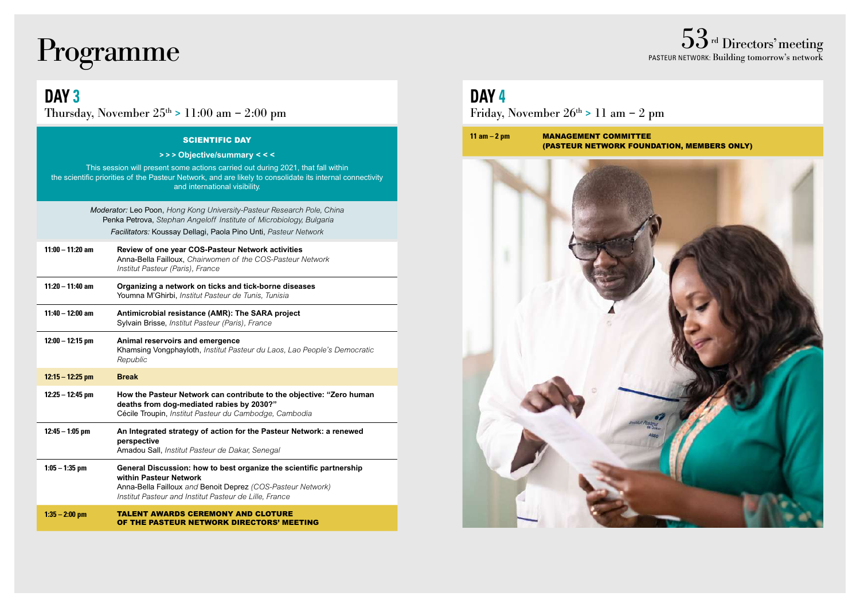# ${\rm Programme} \begin{array}{c} 53\text{\tiny{rd Directors' meeting}} \ 53\text{\tiny{nd Directors' meeting}} \ \text{\tiny{PASTEUR NETWORK: Building tomorrow's network}} \end{array}$

**DAY 3**

Thursday, November  $25^{th} > 11:00$  am  $- 2:00$  pm

#### SCIENTIFIC DAY

#### **> > > Objective/summary < < <**

This session will present some actions carried out during 2021, that fall within the scientific priorities of the Pasteur Network, and are likely to consolidate its internal connectivity and international visibility.

> *Moderator:* Leo Poon, *Hong Kong University-Pasteur Research Pole, China* Penka Petrova, *Stephan Angeloff Institute of Microbiology, Bulgaria Facilitators:* Koussay Dellagi, Paola Pino Unti, *Pasteur Network*

| $11:00 - 11:20$ am | Review of one year COS-Pasteur Network activities                                              |
|--------------------|------------------------------------------------------------------------------------------------|
|                    | Anna-Bella Failloux, Chairwomen of the COS-Pasteur Network<br>Institut Pasteur (Paris), France |

- **11:20 11:40 am Organizing a network on ticks and tick-borne diseases** Youmna M'Ghirbi, *Institut Pasteur de Tunis, Tunisia*
- **11:40 12:00 am Antimicrobial resistance (AMR): The SARA project** Sylvain Brisse, *Institut Pasteur (Paris), France*

| 12:00 – 12:15 pm | Animal reservoirs and emergence<br>Khamsing Vongphayloth, Institut Pasteur du Laos, Lao People's Democratic<br>Republic |
|------------------|-------------------------------------------------------------------------------------------------------------------------|
|                  |                                                                                                                         |

#### **12:15 – 12:25 pm Break 12:25 – 12:45 pm How the Pasteur Network can contribute to the objective: "Zero human deaths from dog-mediated rabies by 2030?"** Cécile Troupin, *Institut Pasteur du Cambodge, Cambodia*

#### **12:45 – 1:05 pm An Integrated strategy of action for the Pasteur Network: a renewed perspective** Amadou Sall, *Institut Pasteur de Dakar, Senegal* **1:05 – 1:35 pm General Discussion: how to best organize the scientific partnership**

**within Pasteur Network** Anna-Bella Failloux *and* Benoit Deprez *(COS-Pasteur Network) Institut Pasteur and Institut Pasteur de Lille, France*

| 1:35 – 2:00 pm | <b>TALENT AWARDS CEREMONY AND CLOTURE</b> |
|----------------|-------------------------------------------|
|                | OF THE PASTEUR NETWORK DIRECTORS' MEETING |

## **DAY 4**

Friday, November  $26^{th} > 11$  am  $- 2$  pm



PASTEUR NETWORK: Building tomorrow's network